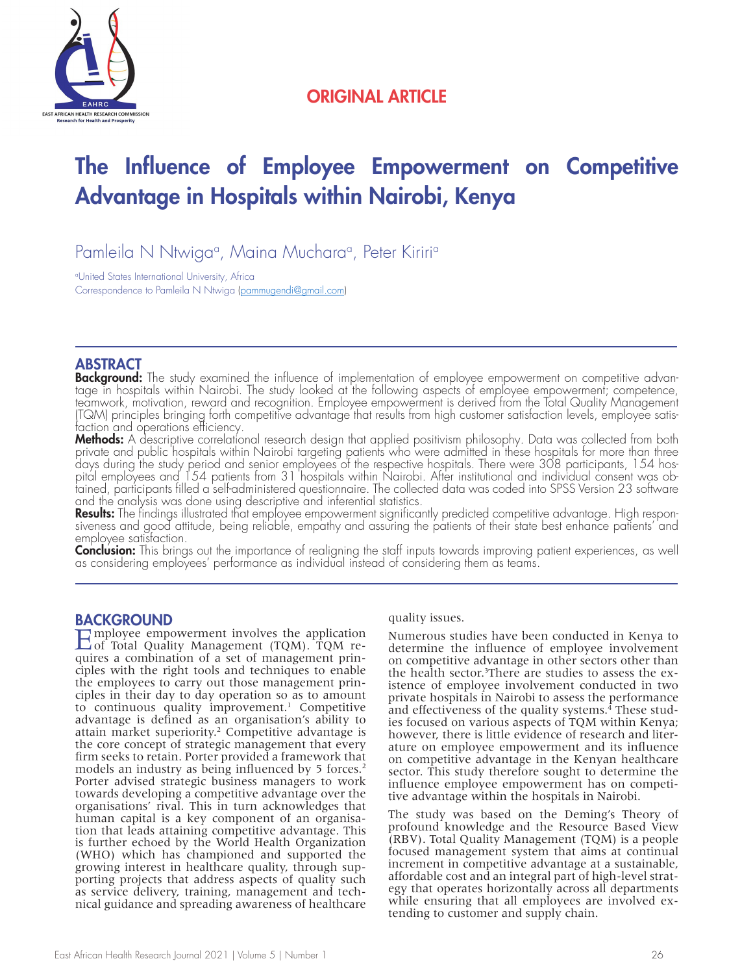

## ORIGINAL ARTICLE

# The Influence of Employee Empowerment on Competitive Advantage in Hospitals within Nairobi, Kenya

Pamleila N Ntwigaª, Maina Mucharaª, Peter Kiririª

a United States International University, Africa Correspondence to Pamleila N Ntwiga (pammugendi@gmail.com)

## **ABSTRACT**

**Background:** The study examined the influence of implementation of employee empowerment on competitive advantage in hospitals within Nairobi. The study looked at the following aspects of employee empowerment; competence, teamwork, motivation, reward and recognition. Employee empowerment is derived from the Total Quality Management (TQM) principles bringing forth competitive advantage that results from high customer satisfaction levels, employee satisfaction and operations efficiency.

**Methods:** A descriptive correlational research design that applied positivism philosophy. Data was collected from both private and public hospitals within Nairobi targeting patients who were admitted in these hospitals for more than three days during the study period and senior employees of the respective hospitals. There were 308 participants, 154 hospital employees and 154 patients from 31 hospitals within Nairobi. After institutional and individual consent was obtained, participants filled a self-administered questionnaire. The collected data was coded into SPSS Version 23 software and the analysis was done using descriptive and inferential statistics.

**Results:** The findings illustrated that employee empowerment significantly predicted competitive advantage. High responsiveness and good attitude, being reliable, empathy and assuring the patients of their state best enhance patients' and employee satisfaction.

**Conclusion:** This brings out the importance of realigning the staff inputs towards improving patient experiences, as well as considering employees' performance as individual instead of considering them as teams.

## BACKGROUND

Employee empowerment involves the application<br>
of Total Quality Management (TQM). TQM requires a combination of a set of management principles with the right tools and techniques to enable the employees to carry out those management principles in their day to day operation so as to amount to continuous quality improvement.<sup>1</sup> Competitive advantage is defined as an organisation's ability to attain market superiority.<sup>2</sup> Competitive advantage is the core concept of strategic management that every firm seeks to retain. Porter provided a framework that models an industry as being influenced by 5 forces.<sup>2</sup> Porter advised strategic business managers to work towards developing a competitive advantage over the organisations' rival. This in turn acknowledges that human capital is a key component of an organisation that leads attaining competitive advantage. This is further echoed by the World Health Organization (WHO) which has championed and supported the growing interest in healthcare quality, through sup porting projects that address aspects of quality such as service delivery, training, management and technical guidance and spreading awareness of healthcare

quality issues.

Numerous studies have been conducted in Kenya to determine the influence of employee involvement on competitive advantage in other sectors other than the health sector.<sup>3</sup>There are studies to assess the existence of employee involvement conducted in two private hospitals in Nairobi to assess the performance and effectiveness of the quality systems.<sup>4</sup> These studies focused on various aspects of TQM within Kenya; however, there is little evidence of research and literature on employee empowerment and its influence on competitive advantage in the Kenyan healthcare sector. This study therefore sought to determine the influence employee empowerment has on competitive advantage within the hospitals in Nairobi.

The study was based on the Deming's Theory of profound knowledge and the Resource Based View (RBV). Total Quality Management (TQM) is a people focused management system that aims at continual increment in competitive advantage at a sustainable, affordable cost and an integral part of high-level strategy that operates horizontally across all departments while ensuring that all employees are involved extending to customer and supply chain.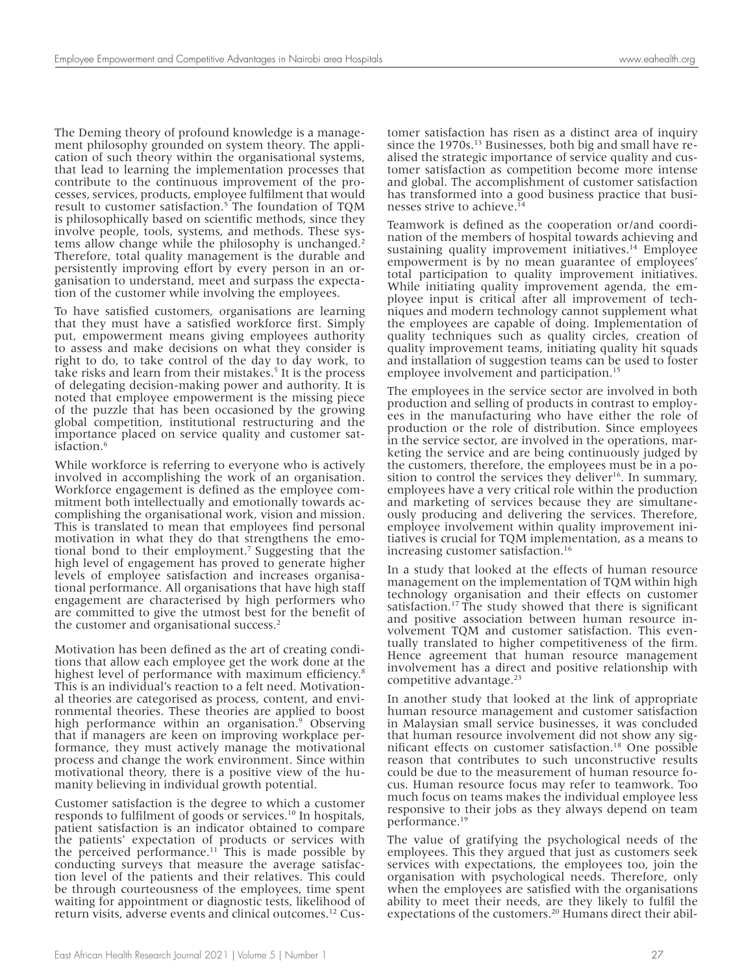The Deming theory of profound knowledge is a management philosophy grounded on system theory. The application of such theory within the organisational systems, that lead to learning the implementation processes that contribute to the continuous improvement of the processes, services, products, employee fulfilment that would result to customer satisfaction.<sup>5</sup> The foundation of TQM is philosophically based on scientific methods, since they involve people, tools, systems, and methods. These systems allow change while the philosophy is unchanged.<sup>2</sup> Therefore, total quality management is the durable and persistently improving effort by every person in an organisation to understand, meet and surpass the expectation of the customer while involving the employees.

To have satisfied customers, organisations are learning that they must have a satisfied workforce first. Simply put, empowerment means giving employees authority to assess and make decisions on what they consider is right to do, to take control of the day to day work, to take risks and learn from their mistakes.<sup>5</sup> It is the process of delegating decision-making power and authority. It is noted that employee empowerment is the missing piece of the puzzle that has been occasioned by the growing global competition, institutional restructuring and the importance placed on service quality and customer satisfaction.6

While workforce is referring to everyone who is actively involved in accomplishing the work of an organisation. Workforce engagement is defined as the employee commitment both intellectually and emotionally towards accomplishing the organisational work, vision and mission. This is translated to mean that employees find personal motivation in what they do that strengthens the emotional bond to their employment.7 Suggesting that the high level of engagement has proved to generate higher levels of employee satisfaction and increases organisational performance. All organisations that have high staff engagement are characterised by high performers who are committed to give the utmost best for the benefit of the customer and organisational success.<sup>2</sup>

Motivation has been defined as the art of creating condi- tions that allow each employee get the work done at the highest level of performance with maximum efficiency.<sup>8</sup> This is an individual's reaction to a felt need. Motivational theories are categorised as process, content, and environmental theories. These theories are applied to boost high performance within an organisation.<sup>9</sup> Observing that if managers are keen on improving workplace per- formance, they must actively manage the motivational process and change the work environment. Since within motivational theory, there is a positive view of the hu- manity believing in individual growth potential.

Customer satisfaction is the degree to which a customer responds to fulfilment of goods or services.<sup>10</sup> In hospitals, patient satisfaction is an indicator obtained to compare the patients' expectation of products or services with the perceived performance.<sup>11</sup> This is made possible by conducting surveys that measure the average satisfac- tion level of the patients and their relatives. This could be through courteousness of the employees, time spent waiting for appointment or diagnostic tests, likelihood of return visits, adverse events and clinical outcomes.12 Customer satisfaction has risen as a distinct area of inquiry since the 1970s.<sup>13</sup> Businesses, both big and small have realised the strategic importance of service quality and customer satisfaction as competition become more intense and global. The accomplishment of customer satisfaction has transformed into a good business practice that businesses strive to achieve.<sup>14</sup>

Teamwork is defined as the cooperation or/and coordination of the members of hospital towards achieving and sustaining quality improvement initiatives.<sup>14</sup> Employee empowerment is by no mean guarantee of employees' total participation to quality improvement initiatives. While initiating quality improvement agenda, the employee input is critical after all improvement of techniques and modern technology cannot supplement what the employees are capable of doing. Implementation of quality techniques such as quality circles, creation of quality improvement teams, initiating quality hit squads and installation of suggestion teams can be used to foster employee involvement and participation.<sup>15</sup>

The employees in the service sector are involved in both production and selling of products in contrast to employees in the manufacturing who have either the role of production or the role of distribution. Since employees in the service sector, are involved in the operations, marketing the service and are being continuously judged by the customers, therefore, the employees must be in a position to control the services they deliver<sup>16</sup>. In summary, employees have a very critical role within the production and marketing of services because they are simultaneously producing and delivering the services. Therefore, employee involvement within quality improvement initiatives is crucial for TQM implementation, as a means to increasing customer satisfaction.<sup>16</sup>

In a study that looked at the effects of human resource management on the implementation of TQM within high technology organisation and their effects on customer satisfaction.17 The study showed that there is significant and positive association between human resource involvement TQM and customer satisfaction. This eventually translated to higher competitiveness of the firm. Hence agreement that human resource management involvement has a direct and positive relationship with competitive advantage.<sup>23</sup>

In another study that looked at the link of appropriate human resource management and customer satisfaction in Malaysian small service businesses, it was concluded that human resource involvement did not show any sig- nificant effects on customer satisfaction.18 One possible reason that contributes to such unconstructive results could be due to the measurement of human resource fo- cus. Human resource focus may refer to teamwork. Too much focus on teams makes the individual employee less responsive to their jobs as they always depend on team performance.19

The value of gratifying the psychological needs of the employees. This they argued that just as customers seek services with expectations, the employees too, join the organisation with psychological needs. Therefore, only when the employees are satisfied with the organisations ability to meet their needs, are they likely to fulfil the expectations of the customers.20 Humans direct their abil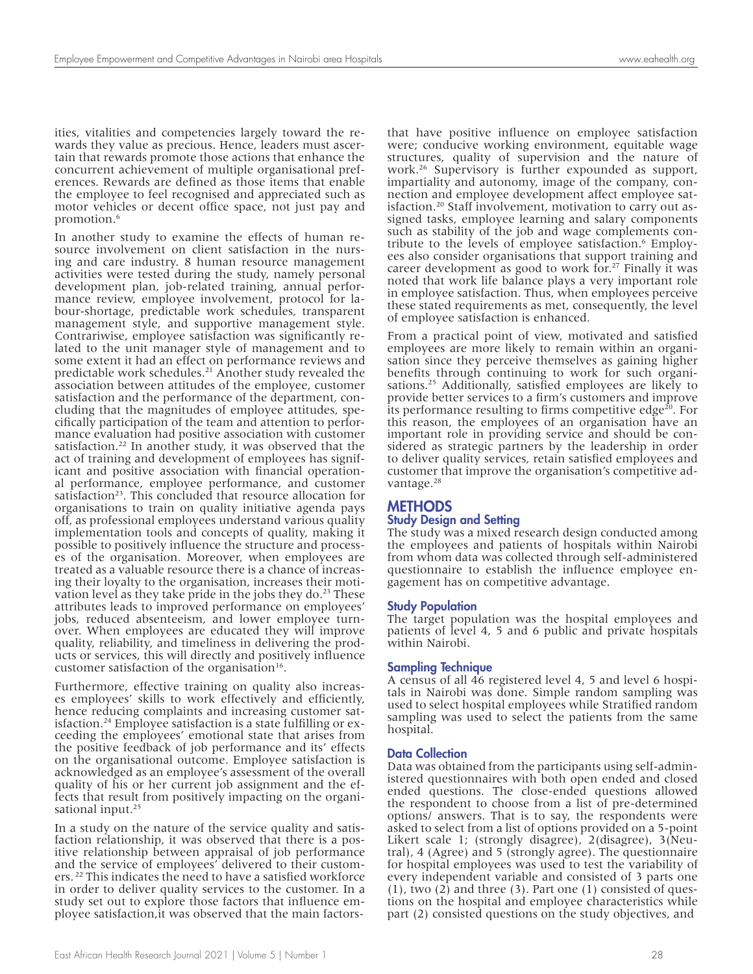ities, vitalities and competencies largely toward the rewards they value as precious. Hence, leaders must ascertain that rewards promote those actions that enhance the concurrent achievement of multiple organisational preferences. Rewards are defined as those items that enable the employee to feel recognised and appreciated such as motor vehicles or decent office space, not just pay and promotion.6

In another study to examine the effects of human resource involvement on client satisfaction in the nursing and care industry. 8 human resource management activities were tested during the study, namely personal development plan, job-related training, annual performance review, employee involvement, protocol for labour-shortage, predictable work schedules, transparent management style, and supportive management style. Contrariwise, employee satisfaction was significantly related to the unit manager style of management and to some extent it had an effect on performance reviews and predictable work schedules.21 Another study revealed the association between attitudes of the employee, customer satisfaction and the performance of the department, concluding that the magnitudes of employee attitudes, specifically participation of the team and attention to performance evaluation had positive association with customer satisfaction.22 In another study, it was observed that the act of training and development of employees has significant and positive association with financial operational performance, employee performance, and customer satisfaction<sup>23</sup>. This concluded that resource allocation for organisations to train on quality initiative agenda pays off, as professional employees understand various quality implementation tools and concepts of quality, making it possible to positively influence the structure and processes of the organisation. Moreover, when employees are treated as a valuable resource there is a chance of increasing their loyalty to the organisation, increases their motivation level as they take pride in the jobs they do.<sup>23</sup> These attributes leads to improved performance on employees' jobs, reduced absenteeism, and lower employee turnover. When employees are educated they will improve quality, reliability, and timeliness in delivering the products or services, this will directly and positively influence customer satisfaction of the organisation $16$ .

Furthermore, effective training on quality also increases employees' skills to work effectively and efficiently, hence reducing complaints and increasing customer satisfaction.24 Employee satisfaction is a state fulfilling or ex- ceeding the employees' emotional state that arises from the positive feedback of job performance and its' effects on the organisational outcome. Employee satisfaction is acknowledged as an employee's assessment of the overall quality of his or her current job assignment and the effects that result from positively impacting on the organisational input.<sup>25</sup>

In a study on the nature of the service quality and satisfaction relationship, it was observed that there is a positive relationship between appraisal of job performance and the service of employees' delivered to their customers.<sup>22</sup> This indicates the need to have a satisfied workforce in order to deliver quality services to the customer. In a study set out to explore those factors that influence employee satisfaction,it was observed that the main factorsthat have positive influence on employee satisfaction were; conducive working environment, equitable wage structures, quality of supervision and the nature of work.26 Supervisory is further expounded as support, impartiality and autonomy, image of the company, connection and employee development affect employee satisfaction.20 Staff involvement, motivation to carry out assigned tasks, employee learning and salary components such as stability of the job and wage complements contribute to the levels of employee satisfaction.<sup>6</sup> Employees also consider organisations that support training and career development as good to work for. $27$  Finally it was noted that work life balance plays a very important role in employee satisfaction. Thus, when employees perceive these stated requirements as met, consequently, the level of employee satisfaction is enhanced.

From a practical point of view, motivated and satisfied employees are more likely to remain within an organisation since they perceive themselves as gaining higher benefits through continuing to work for such organisations.25 Additionally, satisfied employees are likely to provide better services to a firm's customers and improve its performance resulting to firms competitive edge<sup>20</sup>. For this reason, the employees of an organisation have an important role in providing service and should be considered as strategic partners by the leadership in order to deliver quality services, retain satisfied employees and customer that improve the organisation's competitive advantage.<sup>28</sup>

## **METHODS**

#### Study Design and Setting

The study was a mixed research design conducted among the employees and patients of hospitals within Nairobi from whom data was collected through self-administered questionnaire to establish the influence employee engagement has on competitive advantage.

#### Study Population

The target population was the hospital employees and patients of level 4, 5 and 6 public and private hospitals within Nairobi.

#### Sampling Technique

A census of all 46 registered level 4, 5 and level 6 hospitals in Nairobi was done. Simple random sampling was used to select hospital employees while Stratified random sampling was used to select the patients from the same hospital.

#### **Data Collection**

Data was obtained from the participants using self-admin- istered questionnaires with both open ended and closed ended questions. The close-ended questions allowed the respondent to choose from a list of pre-determined options/ answers. That is to say, the respondents were asked to select from a list of options provided on a 5-point Likert scale 1; (strongly disagree), 2(disagree), 3(Neutral), 4 (Agree) and 5 (strongly agree). The questionnaire for hospital employees was used to test the variability of every independent variable and consisted of 3 parts one  $(1)$ , two  $(2)$  and three  $(3)$ . Part one  $(1)$  consisted of questions on the hospital and employee characteristics while part (2) consisted questions on the study objectives, and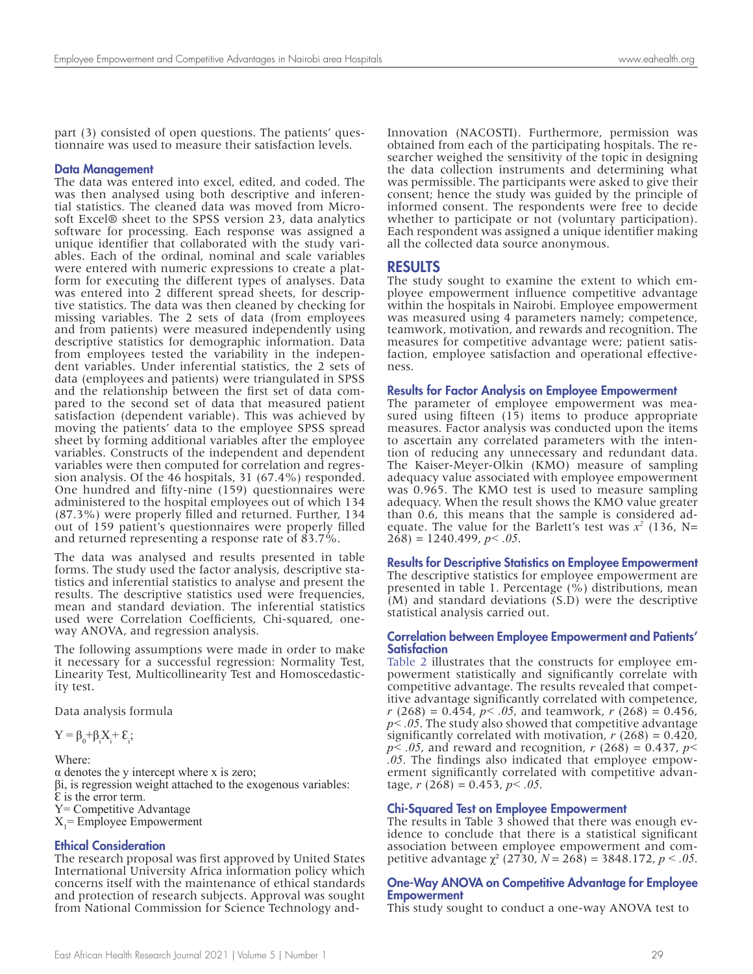part (3) consisted of open questions. The patients' questionnaire was used to measure their satisfaction levels.

#### Data Management

The data was entered into excel, edited, and coded. The was then analysed using both descriptive and inferential statistics. The cleaned data was moved from Microsoft Excel® sheet to the SPSS version 23, data analytics software for processing. Each response was assigned a unique identifier that collaborated with the study variables. Each of the ordinal, nominal and scale variables were entered with numeric expressions to create a platform for executing the different types of analyses. Data was entered into 2 different spread sheets, for descriptive statistics. The data was then cleaned by checking for missing variables. The 2 sets of data (from employees and from patients) were measured independently using descriptive statistics for demographic information. Data from employees tested the variability in the independent variables. Under inferential statistics, the 2 sets of data (employees and patients) were triangulated in SPSS and the relationship between the first set of data compared to the second set of data that measured patient satisfaction (dependent variable). This was achieved by moving the patients' data to the employee SPSS spread sheet by forming additional variables after the employee variables. Constructs of the independent and dependent variables were then computed for correlation and regression analysis. Of the 46 hospitals, 31 (67.4%) responded. One hundred and fifty-nine (159) questionnaires were administered to the hospital employees out of which 134 (87.3%) were properly filled and returned. Further, 134 out of 159 patient's questionnaires were properly filled and returned representing a response rate of 83.7%.

The data was analysed and results presented in table forms. The study used the factor analysis, descriptive statistics and inferential statistics to analyse and present the results. The descriptive statistics used were frequencies, mean and standard deviation. The inferential statistics used were Correlation Coefficients, Chi-squared, oneway ANOVA, and regression analysis.

The following assumptions were made in order to make it necessary for a successful regression: Normality Test, Linearity Test, Multicollinearity Test and Homoscedasticity test.

Data analysis formula

 $Y = \beta_0 + \beta_i X_i + \varepsilon_i;$ 

Where:  $\alpha$  denotes the y intercept where x is zero; βi, is regression weight attached to the exogenous variables:  $\epsilon$  is the error term. Y= Competitive Advantage  $X_1$  = Employee Empowerment

#### Ethical Consideration

The research proposal was first approved by United States International University Africa information policy which concerns itself with the maintenance of ethical standards and protection of research subjects. Approval was sought from National Commission for Science Technology andInnovation (NACOSTI). Furthermore, permission was obtained from each of the participating hospitals. The researcher weighed the sensitivity of the topic in designing the data collection instruments and determining what was permissible. The participants were asked to give their consent; hence the study was guided by the principle of informed consent. The respondents were free to decide whether to participate or not (voluntary participation). Each respondent was assigned a unique identifier making all the collected data source anonymous.

#### RESULTS

The study sought to examine the extent to which employee empowerment influence competitive advantage within the hospitals in Nairobi. Employee empowerment was measured using 4 parameters namely; competence, teamwork, motivation, and rewards and recognition. The measures for competitive advantage were; patient satisfaction, employee satisfaction and operational effectiveness.

#### Results for Factor Analysis on Employee Empowerment

The parameter of employee empowerment was measured using fifteen (15) items to produce appropriate measures. Factor analysis was conducted upon the items to ascertain any correlated parameters with the intention of reducing any unnecessary and redundant data. The Kaiser-Meyer-Olkin (KMO) measure of sampling adequacy value associated with employee empowerment was 0.965. The KMO test is used to measure sampling adequacy. When the result shows the KMO value greater than 0.6, this means that the sample is considered adequate. The value for the Barlett's test was  $x^2$  (136, N=  $268$ ) = 1240.499, *p* < .05.

Results for Descriptive Statistics on Employee Empowerment The descriptive statistics for employee empowerment are

presented in table 1. Percentage (%) distributions, mean  $(M)$  and standard deviations  $(S.D)$  were the descriptive statistical analysis carried out.

#### Correlation between Employee Empowerment and Patients' **Satisfaction**

Table 2 illustrates that the constructs for employee empowerment statistically and significantly correlate with competitive advantage. The results revealed that competitive advantage significantly correlated with competence, *r* (268) = 0.454,  $\bar{p}$ < .05, and teamwork, *r* (268) = 0.456, *p< .05*. The study also showed that competitive advantage significantly correlated with motivation, *r* (268) = 0.420, *p*  $\le$  .05, and reward and recognition, *r* (268) = 0.437, *p*  $\le$ *.05*. The findings also indicated that employee empow- erment significantly correlated with competitive advan- tage, *r* (268) = 0.453, *p< .05*.

#### Chi-Squared Test on Employee Empowerment

The results in Table 3 showed that there was enough evidence to conclude that there is a statistical significant association between employee empowerment and competitive advantage χ² (2730, *N* = 268) = 3848.172, *p < .05*.

#### One-Way ANOVA on Competitive Advantage for Employee Empowerment

This study sought to conduct a one-way ANOVA test to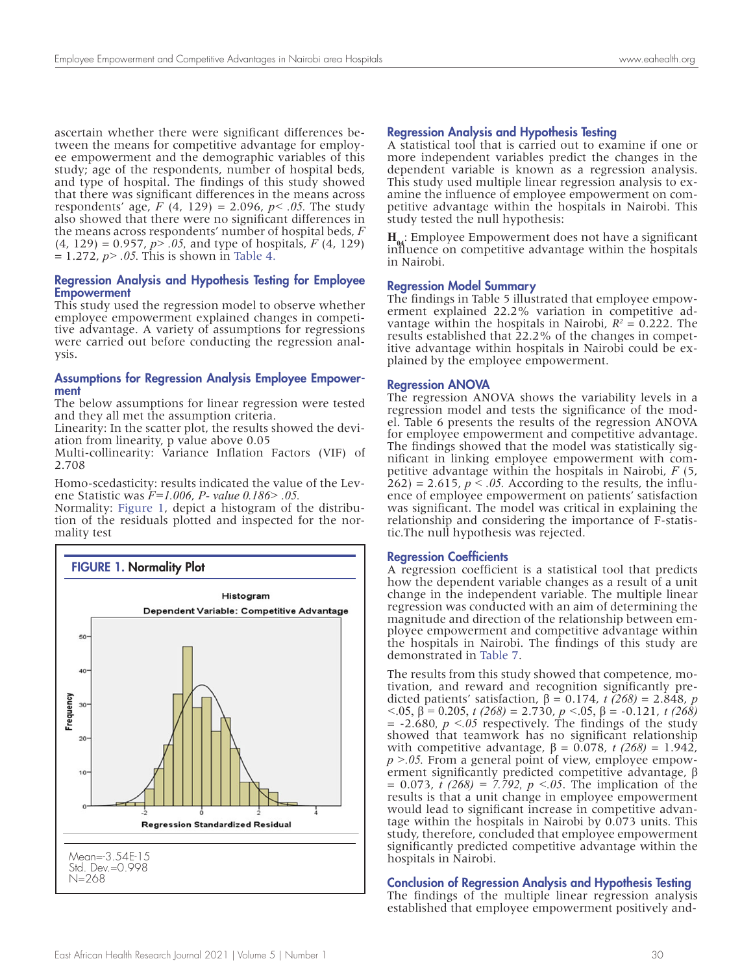ascertain whether there were significant differences between the means for competitive advantage for employee empowerment and the demographic variables of this study; age of the respondents, number of hospital beds, and type of hospital. The findings of this study showed that there was significant differences in the means across respondents' age, *F* (4, 129) = 2.096, *p< .05.* The study also showed that there were no significant differences in the means across respondents' number of hospital beds, *F* (4, 129) = 0.957, *p> .05,* and type of hospitals, *F* (4, 129)  $= 1.272, p > .05$ . This is shown in Table 4.

#### Regression Analysis and Hypothesis Testing for Employee Empowerment

This study used the regression model to observe whether employee empowerment explained changes in competitive advantage. A variety of assumptions for regressions were carried out before conducting the regression analysis.

#### Assumptions for Regression Analysis Employee Empowerment

The below assumptions for linear regression were tested and they all met the assumption criteria.

Linearity: In the scatter plot, the results showed the deviation from linearity, p value above 0.05

Multi-collinearity: Variance Inflation Factors (VIF) of 2.708

Homo-scedasticity: results indicated the value of the Levene Statistic was *F=1.006*, *P- value 0.186> .05.*

Normality: Figure 1, depict a histogram of the distribution of the residuals plotted and inspected for the normality test



#### Regression Analysis and Hypothesis Testing

A statistical tool that is carried out to examine if one or more independent variables predict the changes in the dependent variable is known as a regression analysis. This study used multiple linear regression analysis to examine the influence of employee empowerment on competitive advantage within the hospitals in Nairobi. This study tested the null hypothesis:

**H<sub>04</sub>**: Employee Empowerment does not have a significant influence on competitive advantage within the hospitals in Nairobi.

#### Regression Model Summary

The findings in Table 5 illustrated that employee empowerment explained 22.2% variation in competitive advantage within the hospitals in Nairobi,  $R^2 = 0.222$ . The results established that 22.2% of the changes in competitive advantage within hospitals in Nairobi could be explained by the employee empowerment.

#### Regression ANOVA

The regression ANOVA shows the variability levels in a regression model and tests the significance of the model. Table 6 presents the results of the regression ANOVA for employee empowerment and competitive advantage. The findings showed that the model was statistically significant in linking employee empowerment with competitive advantage within the hospitals in Nairobi, *F* (5,  $262$ ) = 2.615,  $p < .05$ . According to the results, the influence of employee empowerment on patients' satisfaction was significant. The model was critical in explaining the relationship and considering the importance of F-statistic.The null hypothesis was rejected.

#### Regression Coefficients

A regression coefficient is a statistical tool that predicts how the dependent variable changes as a result of a unit change in the independent variable. The multiple linear regression was conducted with an aim of determining the magnitude and direction of the relationship between employee empowerment and competitive advantage within the hospitals in Nairobi. The findings of this study are demonstrated in Table 7.

The results from this study showed that competence, motivation, and reward and recognition significantly predicted patients' satisfaction,  $β = 0.174$ , *t* (268) = 2.848, *p <*.05, β = 0.205, *t (268)* = 2.730, *p <*.05, β = -0.121, *t (268)*   $= -2.680$ ,  $p \le 0.05$  respectively. The findings of the study showed that teamwork has no significant relationship with competitive advantage,  $β = 0.078$ , *t* (268) = 1.942, *p >.05.* From a general point of view, employee empow-<br>erment significantly predicted competitive advantage, β  $= 0.073$ ,  $\bar{t}$  (268)  $= 7.792$ ,  $p < 0.05$ . The implication of the results is that a unit change in employee empowerment would lead to significant increase in competitive advantage within the hospitals in Nairobi by 0.073 units. This study, therefore, concluded that employee empowerment significantly predicted competitive advantage within the hospitals in Nairobi.

## Conclusion of Regression Analysis and Hypothesis Testing

The findings of the multiple linear regression analysis established that employee empowerment positively and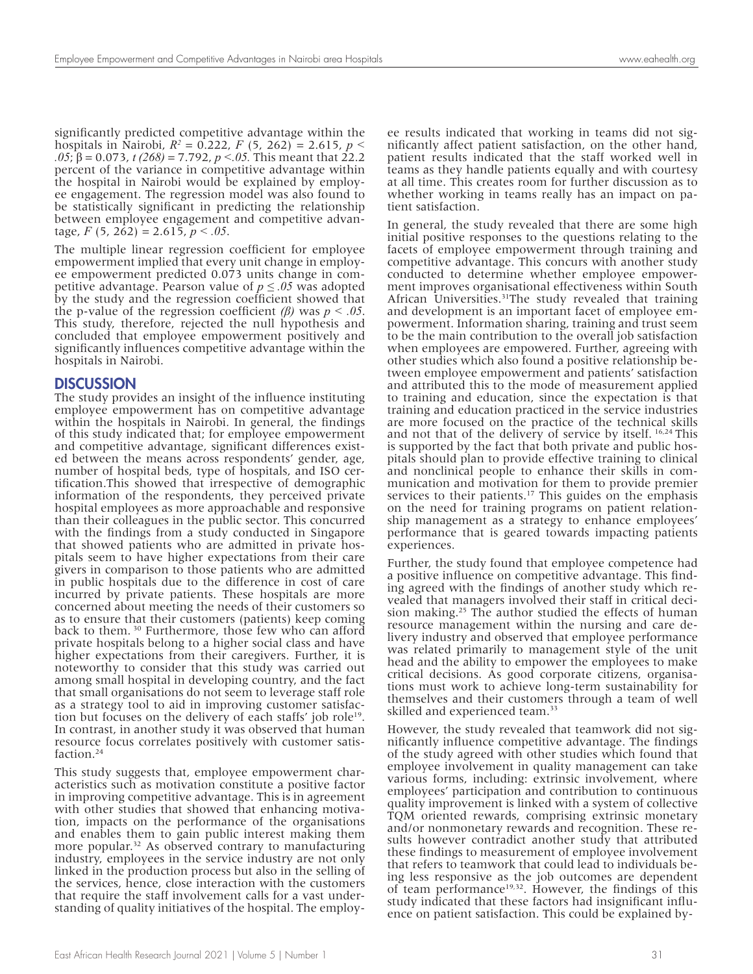significantly predicted competitive advantage within the hospitals in Nairobi,  $R^2 = 0.222$ ,  $F(5, 262) = 2.615$ ,  $p <$ *.05*; β = 0.073, *t (268)* = 7.792, *p <.05.* This meant that 22.2 percent of the variance in competitive advantage within the hospital in Nairobi would be explained by employee engagement. The regression model was also found to be statistically significant in predicting the relationship between employee engagement and competitive advantage,  $F(5, 262) = 2.615$ ,  $p < .05$ .

The multiple linear regression coefficient for employee empowerment implied that every unit change in employee empowerment predicted 0.073 units change in competitive advantage. Pearson value of  $p \leq 0.05$  was adopted by the study and the regression coefficient showed that the p-value of the regression coefficient *(β)* was *p < .05*. This study, therefore, rejected the null hypothesis and concluded that employee empowerment positively and significantly influences competitive advantage within the hospitals in Nairobi.

## **DISCUSSION**

The study provides an insight of the influence instituting employee empowerment has on competitive advantage within the hospitals in Nairobi. In general, the findings of this study indicated that; for employee empowerment and competitive advantage, significant differences existed between the means across respondents' gender, age, number of hospital beds, type of hospitals, and ISO certification.This showed that irrespective of demographic information of the respondents, they perceived private hospital employees as more approachable and responsive than their colleagues in the public sector. This concurred with the findings from a study conducted in Singapore that showed patients who are admitted in private hospitals seem to have higher expectations from their care givers in comparison to those patients who are admitted in public hospitals due to the difference in cost of care incurred by private patients. These hospitals are more concerned about meeting the needs of their customers so as to ensure that their customers (patients) keep coming back to them. 30 Furthermore, those few who can afford private hospitals belong to a higher social class and have higher expectations from their caregivers. Further, it is noteworthy to consider that this study was carried out among small hospital in developing country, and the fact that small organisations do not seem to leverage staff role as a strategy tool to aid in improving customer satisfaction but focuses on the delivery of each staffs' job role<sup>19</sup>. In contrast, in another study it was observed that human resource focus correlates positively with customer satis-<br>faction.<sup>24</sup>

This study suggests that, employee empowerment char- acteristics such as motivation constitute a positive factor in improving competitive advantage. This is in agreement with other studies that showed that enhancing motivation, impacts on the performance of the organisations and enables them to gain public interest making them more popular.<sup>32</sup> As observed contrary to manufacturing industry, employees in the service industry are not only linked in the production process but also in the selling of the services, hence, close interaction with the customers that require the staff involvement calls for a vast understanding of quality initiatives of the hospital. The employee results indicated that working in teams did not significantly affect patient satisfaction, on the other hand, patient results indicated that the staff worked well in teams as they handle patients equally and with courtesy at all time. This creates room for further discussion as to whether working in teams really has an impact on patient satisfaction.

In general, the study revealed that there are some high initial positive responses to the questions relating to the facets of employee empowerment through training and competitive advantage. This concurs with another study conducted to determine whether employee empowerment improves organisational effectiveness within South African Universities.<sup>31</sup>The study revealed that training and development is an important facet of employee empowerment. Information sharing, training and trust seem to be the main contribution to the overall job satisfaction when employees are empowered. Further, agreeing with other studies which also found a positive relationship between employee empowerment and patients' satisfaction and attributed this to the mode of measurement applied to training and education, since the expectation is that training and education practiced in the service industries are more focused on the practice of the technical skills and not that of the delivery of service by itself. 16,24 This is supported by the fact that both private and public hospitals should plan to provide effective training to clinical and nonclinical people to enhance their skills in communication and motivation for them to provide premier services to their patients.<sup>17</sup> This guides on the emphasis on the need for training programs on patient relationship management as a strategy to enhance employees' performance that is geared towards impacting patients experiences.

Further, the study found that employee competence had a positive influence on competitive advantage. This finding agreed with the findings of another study which revealed that managers involved their staff in critical decision making.<sup>25</sup> The author studied the effects of human resource management within the nursing and care delivery industry and observed that employee performance was related primarily to management style of the unit head and the ability to empower the employees to make critical decisions. As good corporate citizens, organisations must work to achieve long-term sustainability for themselves and their customers through a team of well skilled and experienced team.<sup>33</sup>

However, the study revealed that teamwork did not sig- nificantly influence competitive advantage. The findings of the study agreed with other studies which found that employee involvement in quality management can take various forms, including: extrinsic involvement, where employees' participation and contribution to continuous quality improvement is linked with a system of collective TQM oriented rewards, comprising extrinsic monetary and/or nonmonetary rewards and recognition. These results however contradict another study that attributed these findings to measurement of employee involvement that refers to teamwork that could lead to individuals be- ing less responsive as the job outcomes are dependent of team performance<sup>19,32</sup>. However, the findings of this study indicated that these factors had insignificant influence on patient satisfaction. This could be explained by-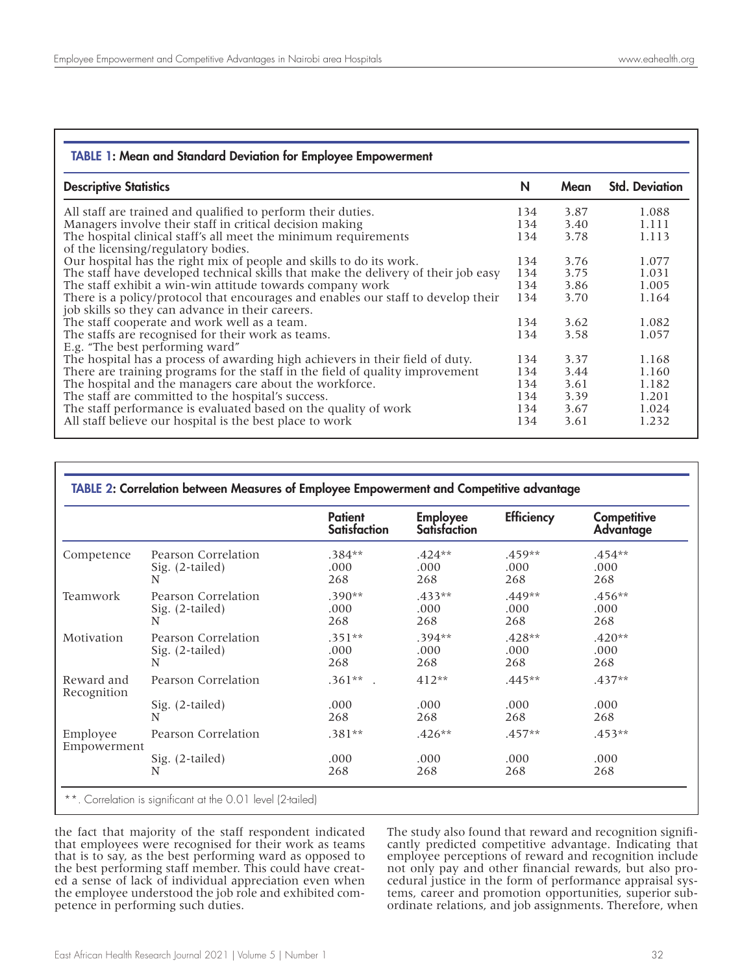| <b>TABLE 1: Mean and Standard Deviation for Employee Empowerment</b>                                                                  |     |      |                       |
|---------------------------------------------------------------------------------------------------------------------------------------|-----|------|-----------------------|
| <b>Descriptive Statistics</b>                                                                                                         | N   | Mean | <b>Std. Deviation</b> |
| All staff are trained and qualified to perform their duties.                                                                          | 134 | 3.87 | 1.088                 |
| Managers involve their staff in critical decision making                                                                              | 134 | 3.40 | 1.111                 |
| The hospital clinical staff's all meet the minimum requirements<br>of the licensing/regulatory bodies.                                | 134 | 3.78 | 1.113                 |
| Our hospital has the right mix of people and skills to do its work.                                                                   | 134 | 3.76 | 1.077                 |
| The staff have developed technical skills that make the delivery of their job easy                                                    | 134 | 3.75 | 1.031                 |
| The staff exhibit a win-win attitude towards company work                                                                             | 134 | 3.86 | 1.005                 |
| There is a policy/protocol that encourages and enables our staff to develop their<br>job skills so they can advance in their careers. | 134 | 3.70 | 1.164                 |
| The staff cooperate and work well as a team.                                                                                          | 134 | 3.62 | 1.082                 |
| The staffs are recognised for their work as teams.<br>E.g. "The best performing ward"                                                 | 134 | 3.58 | 1.057                 |
| The hospital has a process of awarding high achievers in their field of duty.                                                         | 134 | 3.37 | 1.168                 |
| There are training programs for the staff in the field of quality improvement                                                         | 134 | 3.44 | 1.160                 |
| The hospital and the managers care about the workforce.                                                                               | 134 | 3.61 | 1.182                 |
| The staff are committed to the hospital's success.                                                                                    | 134 | 3.39 | 1.201                 |
| The staff performance is evaluated based on the quality of work                                                                       | 134 | 3.67 | 1.024                 |
| All staff believe our hospital is the best place to work                                                                              | 134 | 3.61 | 1.232                 |

|                           |                      | <b>Patient</b><br><b>Satisfaction</b> | <b>Employee</b><br><b>Satisfaction</b> | <b>Efficiency</b> | Competitive<br><b>Advantage</b> |
|---------------------------|----------------------|---------------------------------------|----------------------------------------|-------------------|---------------------------------|
| Competence                | Pearson Correlation  | $.384**$                              | $.424**$                               | $.459**$          | $.454**$                        |
|                           | Sig. (2-tailed)      | .000                                  | .000                                   | .000              | .000                            |
|                           | N                    | 268                                   | 268                                    | 268               | 268                             |
| Teamwork                  | Pearson Correlation  | $.390**$                              | $.433**$                               | $.449**$          | $.456**$                        |
|                           | Sig. (2-tailed)      | .000                                  | .000                                   | .000              | .000                            |
|                           | N                    | 268                                   | 268                                    | 268               | 268                             |
| Motivation                | Pearson Correlation  | $.351**$                              | $.394**$                               | $.428**$          | $.420**$                        |
|                           | Sig. (2-tailed)      | .000                                  | .000                                   | .000              | .000                            |
|                           | N                    | 268                                   | 268                                    | 268               | 268                             |
| Reward and<br>Recognition | Pearson Correlation  | $.361**$                              | $412**$                                | $.445**$          | $.437**$                        |
|                           | Sig. (2-tailed)<br>N | .000<br>268                           | .000<br>268                            | .000<br>268       | .000<br>268                     |
| Employee<br>Empowerment   | Pearson Correlation  | $.381**$                              | $.426**$                               | $.457**$          | $.453**$                        |
|                           | Sig. (2-tailed)      | .000                                  | .000                                   | .000              | .000                            |
|                           | N                    | 268                                   | 268                                    | 268               | 268                             |

the fact that majority of the staff respondent indicated that employees were recognised for their work as teams that is to say, as the best performing ward as opposed to ed a sense of lack of individual appreciation even when the employee understood the job role and exhibited competence in performing such duties.

The study also found that reward and recognition significantly predicted competitive advantage. Indicating that employee perceptions of reward and recognition include not only pay and other financial rewards, but also procedural justice in the form of performance appraisal systems, career and promotion opportunities, superior subordinate relations, and job assignments. Therefore, when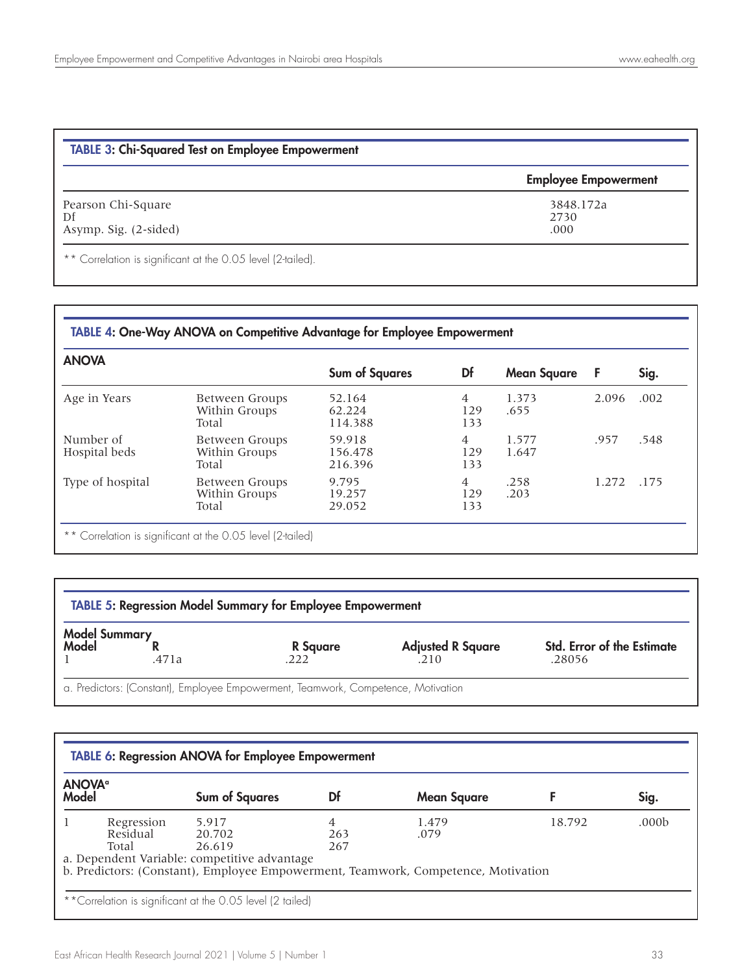| <b>TABLE 3: Chi-Squared Test on Employee Empowerment</b> |                             |  |
|----------------------------------------------------------|-----------------------------|--|
|                                                          | <b>Employee Empowerment</b> |  |
| Pearson Chi-Square<br>Df                                 | 3848.172a<br>2730           |  |
| Asymp. Sig. (2-sided)                                    | .000                        |  |

Correlation is significant at the 0.05 level (2-tailed).

## TABLE 4: One-Way ANOVA on Competitive Advantage for Employee Empowerment

| <b>ANOVA</b>               |                                          | <b>Sum of Squares</b>        | Df                           | <b>Mean Square</b> | F     | Sig. |
|----------------------------|------------------------------------------|------------------------------|------------------------------|--------------------|-------|------|
| Age in Years               | Between Groups<br>Within Groups<br>Total | 52.164<br>62.224<br>114.388  | 4<br>129<br>133              | 1.373<br>.655      | 2.096 | .002 |
| Number of<br>Hospital beds | Between Groups<br>Within Groups<br>Total | 59.918<br>156.478<br>216.396 | $\overline{4}$<br>129<br>133 | 1.577<br>1.647     | .957  | .548 |
| Type of hospital           | Between Groups<br>Within Groups<br>Total | 9.795<br>19.257<br>29.052    | $\overline{4}$<br>129<br>133 | .258<br>.203       | 1.272 | .175 |

\*\* Correlation is significant at the 0.05 level (2-tailed)

| <b>TABLE 5: Regression Model Summary for Employee Empowerment</b> |       |          |                          |                                   |  |
|-------------------------------------------------------------------|-------|----------|--------------------------|-----------------------------------|--|
| Model Summary<br>Model                                            |       | R Square | <b>Adjusted R Square</b> | <b>Std. Error of the Estimate</b> |  |
|                                                                   | .471a | .222     | .210                     | .28056                            |  |

a. Predictors: (Constant), Employee Empowerment, Teamwork, Competence, Motivation

| <b>ANOVA</b> <sup>a</sup><br><b>Model</b> | <b>Sum of Squares</b>                        | Df  | <b>Mean Square</b> |        | Sig.              |
|-------------------------------------------|----------------------------------------------|-----|--------------------|--------|-------------------|
| Regression                                | 5.917                                        | 4   | 1.479              | 18.792 | .000 <sub>b</sub> |
| Residual                                  | 20.702                                       | 263 | .079               |        |                   |
| Total                                     | 26.619                                       | 267 |                    |        |                   |
|                                           | a. Dependent Variable: competitive advantage |     |                    |        |                   |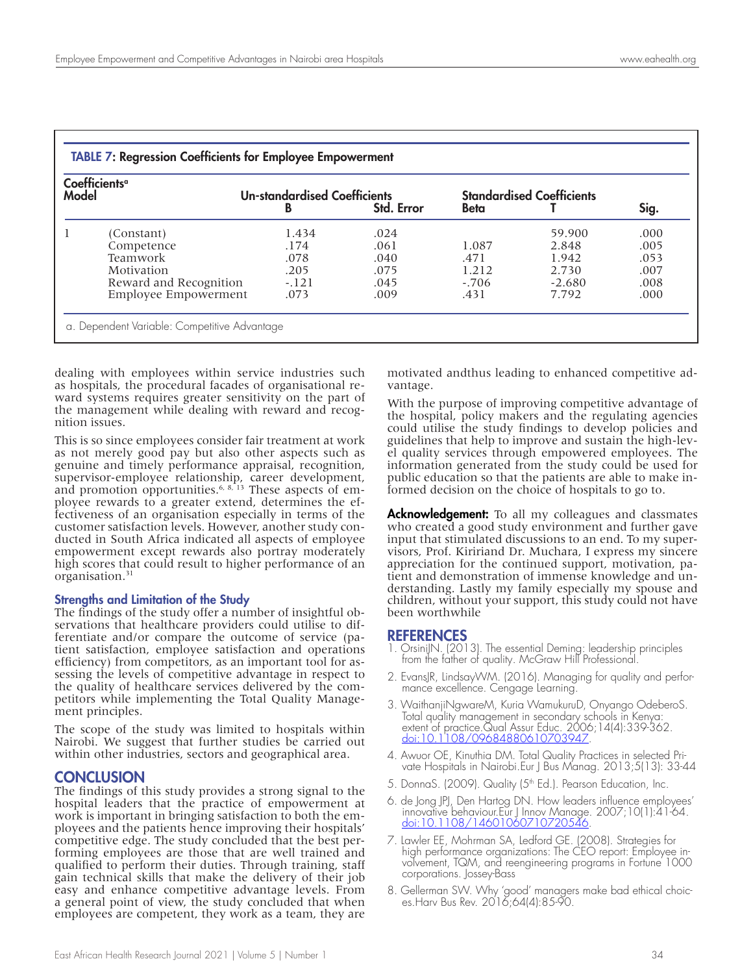| Coefficients <sup>a</sup><br>Model |                             | <b>Un-standardised Coefficients</b><br>B | Std. Error | <b>Beta</b> | <b>Standardised Coefficients</b> | Sig. |
|------------------------------------|-----------------------------|------------------------------------------|------------|-------------|----------------------------------|------|
|                                    |                             |                                          |            |             |                                  |      |
|                                    | (Constant)                  | 1.434                                    | .024       |             | 59.900                           | .000 |
|                                    | Competence                  | .174                                     | .061       | 1.087       | 2.848                            | .005 |
|                                    | Teamwork                    | .078                                     | .040       | .471        | 1.942                            | .053 |
|                                    | Motivation                  | .205                                     | .075       | 1.212       | 2.730                            | .007 |
|                                    | Reward and Recognition      | $-121$                                   | .045       | $-.706$     | $-2.680$                         | .008 |
|                                    | <b>Employee Empowerment</b> | .073                                     | .009       | .431        | 7.792                            | .000 |

dealing with employees within service industries such as hospitals, the procedural facades of organisational reward systems requires greater sensitivity on the part of the management while dealing with reward and recognition issues.

This is so since employees consider fair treatment at work as not merely good pay but also other aspects such as genuine and timely performance appraisal, recognition, supervisor-employee relationship, career development, and promotion opportunities.<sup>6, 8, 13</sup> These aspects of employee rewards to a greater extend, determines the effectiveness of an organisation especially in terms of the customer satisfaction levels. However, another study conducted in South Africa indicated all aspects of employee empowerment except rewards also portray moderately high scores that could result to higher performance of an organisation.<sup>31</sup>

#### Strengths and Limitation of the Study

The findings of the study offer a number of insightful observations that healthcare providers could utilise to differentiate and/or compare the outcome of service (patient satisfaction, employee satisfaction and operations efficiency) from competitors, as an important tool for assessing the levels of competitive advantage in respect to the quality of healthcare services delivered by the competitors while implementing the Total Quality Management principles.

The scope of the study was limited to hospitals within Nairobi. We suggest that further studies be carried out within other industries, sectors and geographical area.

#### CONCLUSION

The findings of this study provides a strong signal to the hospital leaders that the practice of empowerment at work is important in bringing satisfaction to both the employees and the patients hence improving their hospitals' competitive edge. The study concluded that the best performing employees are those that are well trained and qualified to perform their duties. Through training, staff gain technical skills that make the delivery of their job easy and enhance competitive advantage levels. From a general point of view, the study concluded that when employees are competent, they work as a team, they are

motivated andthus leading to enhanced competitive advantage.

With the purpose of improving competitive advantage of the hospital, policy makers and the regulating agencies could utilise the study findings to develop policies and guidelines that help to improve and sustain the high-level quality services through empowered employees. The information generated from the study could be used for public education so that the patients are able to make informed decision on the choice of hospitals to go to.

Acknowledgement: To all my colleagues and classmates who created a good study environment and further gave input that stimulated discussions to an end. To my supervisors, Prof. Kiririand Dr. Muchara, I express my sincere appreciation for the continued support, motivation, patient and demonstration of immense knowledge and understanding. Lastly my family especially my spouse and children, without your support, this study could not have been worthwhile

#### REFERENCES

- 1. OrsiniJN. (2013). The essential Deming: leadership principles from the father of quality. McGraw Hill Professional.
- 2. EvansJR, LindsayWM. (2016). Managing for quality and perfor- mance excellence. Cengage Learning.
- 3. WaithanjiNgwareM, Kuria WamukuruD, Onyango OdeberoS. Total quality management in secondary schools in Kenya: extent of practice.Qual Assur Educ. 2006;14(4):339-362. doi:10.1108/09684880610703947.
- 4. Awuor OE, Kinuthia DM. Total Quality Practices in selected Pri- vate Hospitals in Nairobi.Eur J Bus Manag. 2013;5(13): 33-44
- 5. DonnaS. (2009). Quality (5<sup>th</sup> Ed.). Pearson Education, Inc.
- 6. de Jong JPJ, Den Hartog DN. How leaders influence employees' innovative behaviour.Eur J Innov Manage. 2007;10(1):41-64. <u>doi:10.1108/14601060710720546</u>.
- 7. Lawler EE, Mohrman SA, Ledford GE. (2008). Strategies for high performance organizations: The CEO report: Employee involvement, TQM, and reengineering programs in Fortune 1000 corporations. Jossey-Bass
- 8. Gellerman SW. Why 'good' managers make bad ethical choices.Harv Bus Rev. 2016;64(4):85-90.